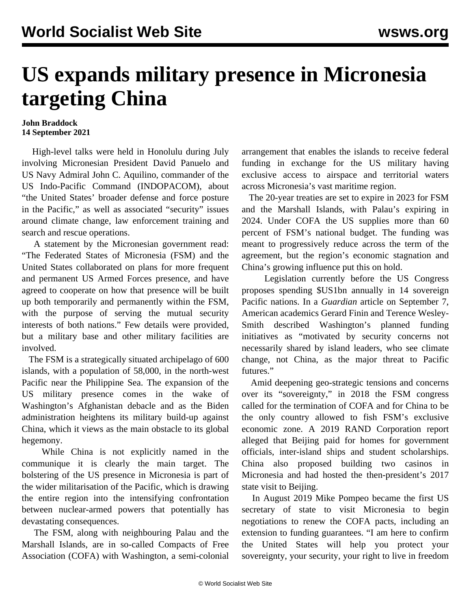## **US expands military presence in Micronesia targeting China**

## **John Braddock 14 September 2021**

 High-level talks were held in Honolulu during July involving Micronesian President David Panuelo and US Navy Admiral John C. Aquilino, commander of the US Indo-Pacific Command (INDOPACOM), about "the United States' broader defense and force posture in the Pacific," as well as associated "security" issues around climate change, law enforcement training and search and rescue operations.

 A statement by the Micronesian government read: "The Federated States of Micronesia (FSM) and the United States collaborated on plans for more frequent and permanent US Armed Forces presence, and have agreed to cooperate on how that presence will be built up both temporarily and permanently within the FSM, with the purpose of serving the mutual security interests of both nations." Few details were provided, but a military base and other military facilities are involved.

 The FSM is a strategically situated archipelago of 600 islands, with a population of 58,000, in the north-west Pacific near the Philippine Sea. The expansion of the US military presence comes in the wake of Washington's Afghanistan debacle and as the Biden administration heightens its military build-up against China, which it views as the main obstacle to its global hegemony.

 While China is not explicitly named in the communique it is clearly the main target. The bolstering of the US presence in Micronesia is part of the wider militarisation of the Pacific, which is drawing the entire region into the intensifying confrontation between nuclear-armed powers that potentially has devastating consequences.

 The FSM, along with neighbouring Palau and the Marshall Islands, are in so-called Compacts of Free Association (COFA) with Washington, a semi-colonial arrangement that enables the islands to receive federal funding in exchange for the US military having exclusive access to airspace and territorial waters across Micronesia's vast maritime region.

 The 20-year treaties are set to expire in 2023 for FSM and the Marshall Islands, with Palau's expiring in 2024. Under COFA the US supplies more than 60 percent of FSM's national budget. The funding was meant to progressively reduce across the term of the agreement, but the region's economic stagnation and China's growing influence put this on hold.

 Legislation currently before the US Congress proposes spending \$US1bn annually in 14 sovereign Pacific nations. In a *Guardian* article on September 7, American academics Gerard Finin and Terence Wesley-Smith described Washington's planned funding initiatives as "motivated by security concerns not necessarily shared by island leaders, who see climate change, not China, as the major threat to Pacific futures."

 Amid deepening geo-strategic tensions and concerns over its "sovereignty," in 2018 the FSM congress called for the termination of COFA and for China to be the only country allowed to fish FSM's exclusive economic zone. A 2019 RAND Corporation report alleged that Beijing paid for homes for government officials, inter-island ships and student scholarships. China also proposed building two casinos in Micronesia and had hosted the then-president's 2017 state visit to Beijing.

 In August 2019 Mike Pompeo became the first US secretary of state to visit Micronesia to begin negotiations to renew the COFA pacts, including an extension to funding guarantees. "I am here to confirm the United States will help you protect your sovereignty, your security, your right to live in freedom